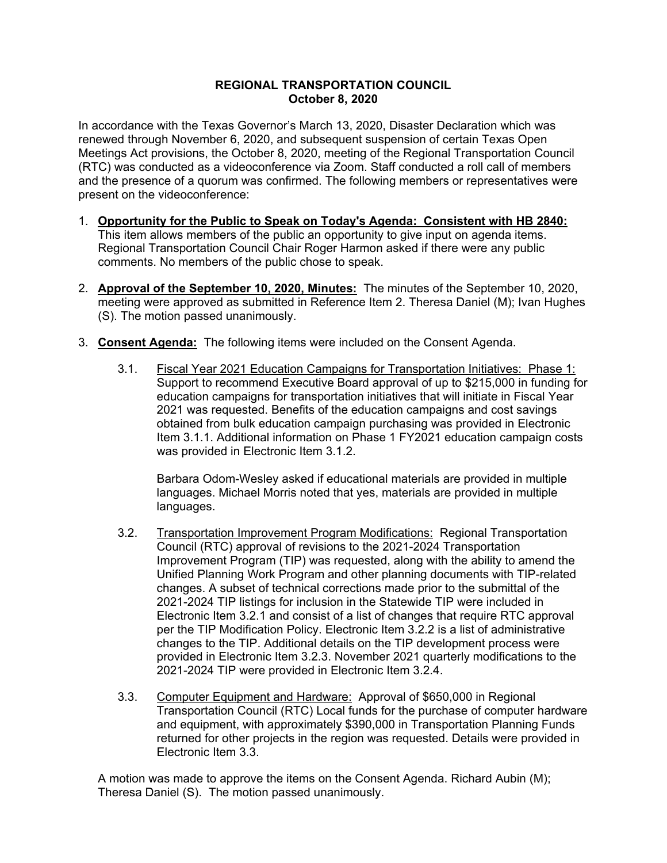## **REGIONAL TRANSPORTATION COUNCIL October 8, 2020**

In accordance with the Texas Governor's March 13, 2020, Disaster Declaration which was renewed through November 6, 2020, and subsequent suspension of certain Texas Open Meetings Act provisions, the October 8, 2020, meeting of the Regional Transportation Council (RTC) was conducted as a videoconference via Zoom. Staff conducted a roll call of members and the presence of a quorum was confirmed. The following members or representatives were present on the videoconference:

- 1. **Opportunity for the Public to Speak on Today's Agenda: Consistent with HB 2840:** This item allows members of the public an opportunity to give input on agenda items. Regional Transportation Council Chair Roger Harmon asked if there were any public comments. No members of the public chose to speak.
- 2. **Approval of the September 10, 2020, Minutes:** The minutes of the September 10, 2020, meeting were approved as submitted in Reference Item 2. Theresa Daniel (M); Ivan Hughes (S). The motion passed unanimously.
- 3. **Consent Agenda:** The following items were included on the Consent Agenda.
	- 3.1. Fiscal Year 2021 Education Campaigns for Transportation Initiatives: Phase 1: Support to recommend Executive Board approval of up to \$215,000 in funding for education campaigns for transportation initiatives that will initiate in Fiscal Year 2021 was requested. Benefits of the education campaigns and cost savings obtained from bulk education campaign purchasing was provided in Electronic Item 3.1.1. Additional information on Phase 1 FY2021 education campaign costs was provided in Electronic Item 3.1.2.

Barbara Odom-Wesley asked if educational materials are provided in multiple languages. Michael Morris noted that yes, materials are provided in multiple languages.

- 3.2. Transportation Improvement Program Modifications: Regional Transportation Council (RTC) approval of revisions to the 2021-2024 Transportation Improvement Program (TIP) was requested, along with the ability to amend the Unified Planning Work Program and other planning documents with TIP-related changes. A subset of technical corrections made prior to the submittal of the 2021-2024 TIP listings for inclusion in the Statewide TIP were included in Electronic Item 3.2.1 and consist of a list of changes that require RTC approval per the TIP Modification Policy. Electronic Item 3.2.2 is a list of administrative changes to the TIP. Additional details on the TIP development process were provided in Electronic Item 3.2.3. November 2021 quarterly modifications to the 2021-2024 TIP were provided in Electronic Item 3.2.4.
- 3.3. Computer Equipment and Hardware: Approval of \$650,000 in Regional Transportation Council (RTC) Local funds for the purchase of computer hardware and equipment, with approximately \$390,000 in Transportation Planning Funds returned for other projects in the region was requested. Details were provided in Electronic Item 3.3.

A motion was made to approve the items on the Consent Agenda. Richard Aubin (M); Theresa Daniel (S). The motion passed unanimously.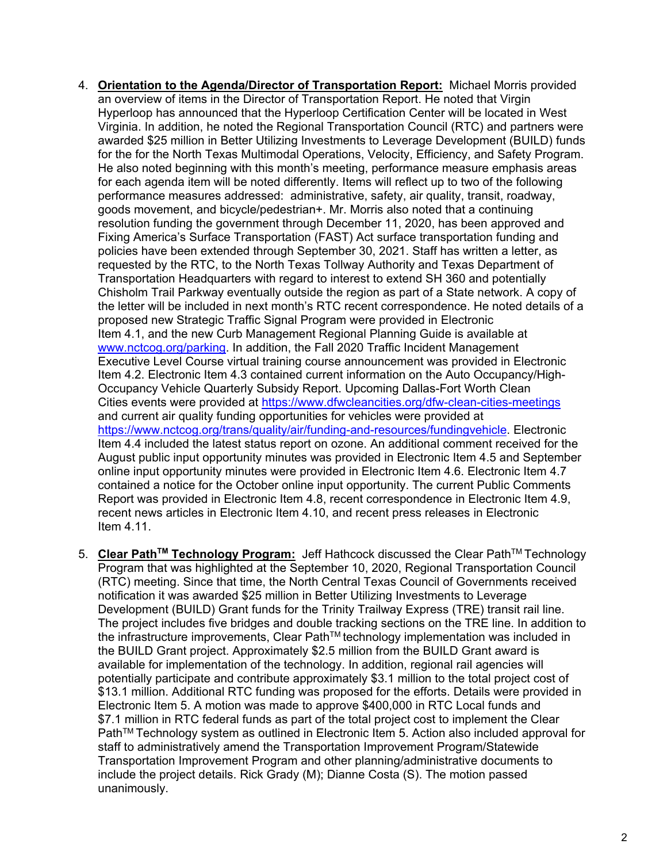- 4. **Orientation to the Agenda/Director of Transportation Report:** Michael Morris provided an overview of items in the Director of Transportation Report. He noted that Virgin Hyperloop has announced that the Hyperloop Certification Center will be located in West Virginia. In addition, he noted the Regional Transportation Council (RTC) and partners were awarded \$25 million in Better Utilizing Investments to Leverage Development (BUILD) funds for the for the North Texas Multimodal Operations, Velocity, Efficiency, and Safety Program. He also noted beginning with this month's meeting, performance measure emphasis areas for each agenda item will be noted differently. Items will reflect up to two of the following performance measures addressed: administrative, safety, air quality, transit, roadway, goods movement, and bicycle/pedestrian+. Mr. Morris also noted that a continuing resolution funding the government through December 11, 2020, has been approved and Fixing America's Surface Transportation (FAST) Act surface transportation funding and policies have been extended through September 30, 2021. Staff has written a letter, as requested by the RTC, to the North Texas Tollway Authority and Texas Department of Transportation Headquarters with regard to interest to extend SH 360 and potentially Chisholm Trail Parkway eventually outside the region as part of a State network. A copy of the letter will be included in next month's RTC recent correspondence. He noted details of a proposed new Strategic Traffic Signal Program were provided in Electronic Item 4.1, and the new Curb Management Regional Planning Guide is available at [www.nctcog.org/parking.](http://www.nctcog.org/parking) In addition, the Fall 2020 Traffic Incident Management Executive Level Course virtual training course announcement was provided in Electronic Item 4.2. Electronic Item 4.3 contained current information on the Auto Occupancy/High-Occupancy Vehicle Quarterly Subsidy Report. Upcoming Dallas-Fort Worth Clean Cities events were provided at<https://www.dfwcleancities.org/dfw-clean-cities-meetings> and current air quality funding opportunities for vehicles were provided at [https://www.nctcog.org/trans/quality/air/funding-and-resources/fundingvehicle.](https://www.nctcog.org/trans/quality/air/funding-and-resources/fundingvehicle) Electronic Item 4.4 included the latest status report on ozone. An additional comment received for the August public input opportunity minutes was provided in Electronic Item 4.5 and September online input opportunity minutes were provided in Electronic Item 4.6. Electronic Item 4.7 contained a notice for the October online input opportunity. The current Public Comments Report was provided in Electronic Item 4.8, recent correspondence in Electronic Item 4.9, recent news articles in Electronic Item 4.10, and recent press releases in Electronic Item 4.11.
- 5. **Clear PathTM Technology Program:** Jeff Hathcock discussed the Clear PathTM Technology Program that was highlighted at the September 10, 2020, Regional Transportation Council (RTC) meeting. Since that time, the North Central Texas Council of Governments received notification it was awarded \$25 million in Better Utilizing Investments to Leverage Development (BUILD) Grant funds for the Trinity Trailway Express (TRE) transit rail line. The project includes five bridges and double tracking sections on the TRE line. In addition to the infrastructure improvements, Clear Path $TM$  technology implementation was included in the BUILD Grant project. Approximately \$2.5 million from the BUILD Grant award is available for implementation of the technology. In addition, regional rail agencies will potentially participate and contribute approximately \$3.1 million to the total project cost of \$13.1 million. Additional RTC funding was proposed for the efforts. Details were provided in Electronic Item 5. A motion was made to approve \$400,000 in RTC Local funds and \$7.1 million in RTC federal funds as part of the total project cost to implement the Clear Path™ Technology system as outlined in Electronic Item 5. Action also included approval for staff to administratively amend the Transportation Improvement Program/Statewide Transportation Improvement Program and other planning/administrative documents to include the project details. Rick Grady (M); Dianne Costa (S). The motion passed unanimously.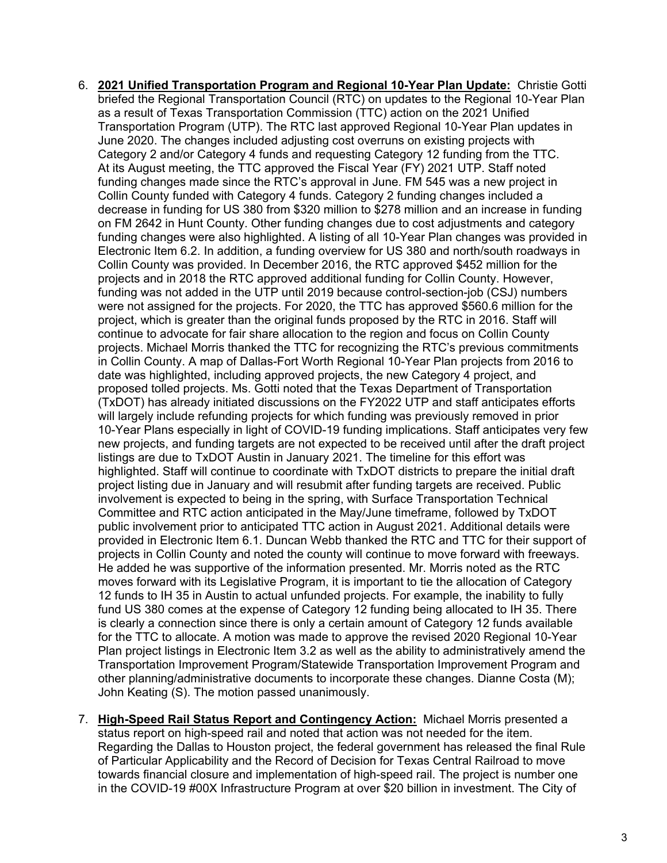- 6. **2021 Unified Transportation Program and Regional 10-Year Plan Update:** Christie Gotti briefed the Regional Transportation Council (RTC) on updates to the Regional 10-Year Plan as a result of Texas Transportation Commission (TTC) action on the 2021 Unified Transportation Program (UTP). The RTC last approved Regional 10-Year Plan updates in June 2020. The changes included adjusting cost overruns on existing projects with Category 2 and/or Category 4 funds and requesting Category 12 funding from the TTC. At its August meeting, the TTC approved the Fiscal Year (FY) 2021 UTP. Staff noted funding changes made since the RTC's approval in June. FM 545 was a new project in Collin County funded with Category 4 funds. Category 2 funding changes included a decrease in funding for US 380 from \$320 million to \$278 million and an increase in funding on FM 2642 in Hunt County. Other funding changes due to cost adjustments and category funding changes were also highlighted. A listing of all 10-Year Plan changes was provided in Electronic Item 6.2. In addition, a funding overview for US 380 and north/south roadways in Collin County was provided. In December 2016, the RTC approved \$452 million for the projects and in 2018 the RTC approved additional funding for Collin County. However, funding was not added in the UTP until 2019 because control-section-job (CSJ) numbers were not assigned for the projects. For 2020, the TTC has approved \$560.6 million for the project, which is greater than the original funds proposed by the RTC in 2016. Staff will continue to advocate for fair share allocation to the region and focus on Collin County projects. Michael Morris thanked the TTC for recognizing the RTC's previous commitments in Collin County. A map of Dallas-Fort Worth Regional 10-Year Plan projects from 2016 to date was highlighted, including approved projects, the new Category 4 project, and proposed tolled projects. Ms. Gotti noted that the Texas Department of Transportation (TxDOT) has already initiated discussions on the FY2022 UTP and staff anticipates efforts will largely include refunding projects for which funding was previously removed in prior 10-Year Plans especially in light of COVID-19 funding implications. Staff anticipates very few new projects, and funding targets are not expected to be received until after the draft project listings are due to TxDOT Austin in January 2021. The timeline for this effort was highlighted. Staff will continue to coordinate with TxDOT districts to prepare the initial draft project listing due in January and will resubmit after funding targets are received. Public involvement is expected to being in the spring, with Surface Transportation Technical Committee and RTC action anticipated in the May/June timeframe, followed by TxDOT public involvement prior to anticipated TTC action in August 2021. Additional details were provided in Electronic Item 6.1. Duncan Webb thanked the RTC and TTC for their support of projects in Collin County and noted the county will continue to move forward with freeways. He added he was supportive of the information presented. Mr. Morris noted as the RTC moves forward with its Legislative Program, it is important to tie the allocation of Category 12 funds to IH 35 in Austin to actual unfunded projects. For example, the inability to fully fund US 380 comes at the expense of Category 12 funding being allocated to IH 35. There is clearly a connection since there is only a certain amount of Category 12 funds available for the TTC to allocate. A motion was made to approve the revised 2020 Regional 10-Year Plan project listings in Electronic Item 3.2 as well as the ability to administratively amend the Transportation Improvement Program/Statewide Transportation Improvement Program and other planning/administrative documents to incorporate these changes. Dianne Costa (M); John Keating (S). The motion passed unanimously.
- 7. **High-Speed Rail Status Report and Contingency Action:** Michael Morris presented a status report on high-speed rail and noted that action was not needed for the item. Regarding the Dallas to Houston project, the federal government has released the final Rule of Particular Applicability and the Record of Decision for Texas Central Railroad to move towards financial closure and implementation of high-speed rail. The project is number one in the COVID-19 #00X Infrastructure Program at over \$20 billion in investment. The City of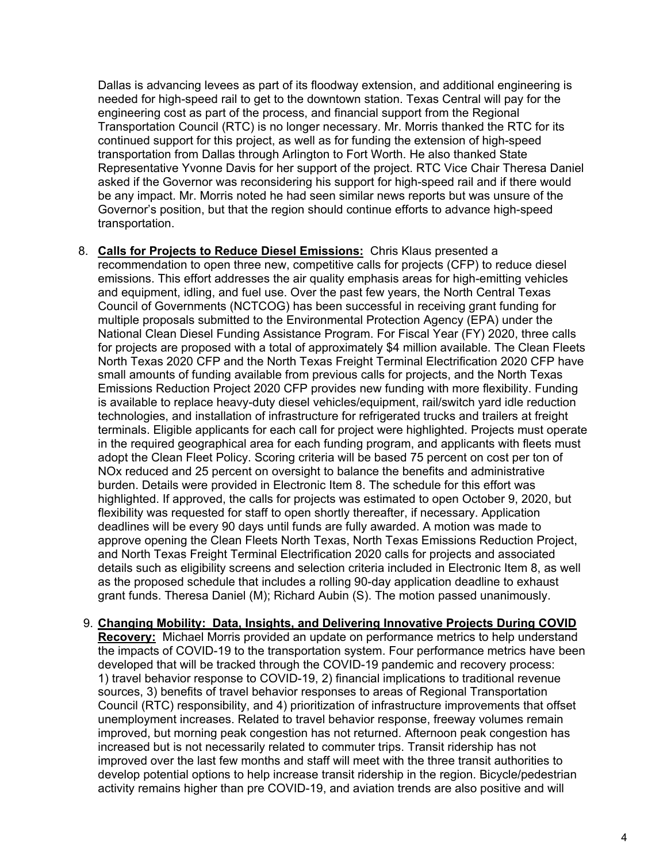Dallas is advancing levees as part of its floodway extension, and additional engineering is needed for high-speed rail to get to the downtown station. Texas Central will pay for the engineering cost as part of the process, and financial support from the Regional Transportation Council (RTC) is no longer necessary. Mr. Morris thanked the RTC for its continued support for this project, as well as for funding the extension of high-speed transportation from Dallas through Arlington to Fort Worth. He also thanked State Representative Yvonne Davis for her support of the project. RTC Vice Chair Theresa Daniel asked if the Governor was reconsidering his support for high-speed rail and if there would be any impact. Mr. Morris noted he had seen similar news reports but was unsure of the Governor's position, but that the region should continue efforts to advance high-speed transportation.

8. **Calls for Projects to Reduce Diesel Emissions:** Chris Klaus presented a recommendation to open three new, competitive calls for projects (CFP) to reduce diesel emissions. This effort addresses the air quality emphasis areas for high-emitting vehicles and equipment, idling, and fuel use. Over the past few years, the North Central Texas Council of Governments (NCTCOG) has been successful in receiving grant funding for multiple proposals submitted to the Environmental Protection Agency (EPA) under the National Clean Diesel Funding Assistance Program. For Fiscal Year (FY) 2020, three calls for projects are proposed with a total of approximately \$4 million available. The Clean Fleets North Texas 2020 CFP and the North Texas Freight Terminal Electrification 2020 CFP have small amounts of funding available from previous calls for projects, and the North Texas Emissions Reduction Project 2020 CFP provides new funding with more flexibility. Funding is available to replace heavy-duty diesel vehicles/equipment, rail/switch yard idle reduction technologies, and installation of infrastructure for refrigerated trucks and trailers at freight terminals. Eligible applicants for each call for project were highlighted. Projects must operate in the required geographical area for each funding program, and applicants with fleets must adopt the Clean Fleet Policy. Scoring criteria will be based 75 percent on cost per ton of NOx reduced and 25 percent on oversight to balance the benefits and administrative burden. Details were provided in Electronic Item 8. The schedule for this effort was highlighted. If approved, the calls for projects was estimated to open October 9, 2020, but flexibility was requested for staff to open shortly thereafter, if necessary. Application deadlines will be every 90 days until funds are fully awarded. A motion was made to approve opening the Clean Fleets North Texas, North Texas Emissions Reduction Project, and North Texas Freight Terminal Electrification 2020 calls for projects and associated details such as eligibility screens and selection criteria included in Electronic Item 8, as well as the proposed schedule that includes a rolling 90-day application deadline to exhaust grant funds. Theresa Daniel (M); Richard Aubin (S). The motion passed unanimously.

## 9. **Changing Mobility: Data, Insights, and Delivering Innovative Projects During COVID**

**Recovery:** Michael Morris provided an update on performance metrics to help understand the impacts of COVID-19 to the transportation system. Four performance metrics have been developed that will be tracked through the COVID-19 pandemic and recovery process: 1) travel behavior response to COVID-19, 2) financial implications to traditional revenue sources, 3) benefits of travel behavior responses to areas of Regional Transportation Council (RTC) responsibility, and 4) prioritization of infrastructure improvements that offset unemployment increases. Related to travel behavior response, freeway volumes remain improved, but morning peak congestion has not returned. Afternoon peak congestion has increased but is not necessarily related to commuter trips. Transit ridership has not improved over the last few months and staff will meet with the three transit authorities to develop potential options to help increase transit ridership in the region. Bicycle/pedestrian activity remains higher than pre COVID-19, and aviation trends are also positive and will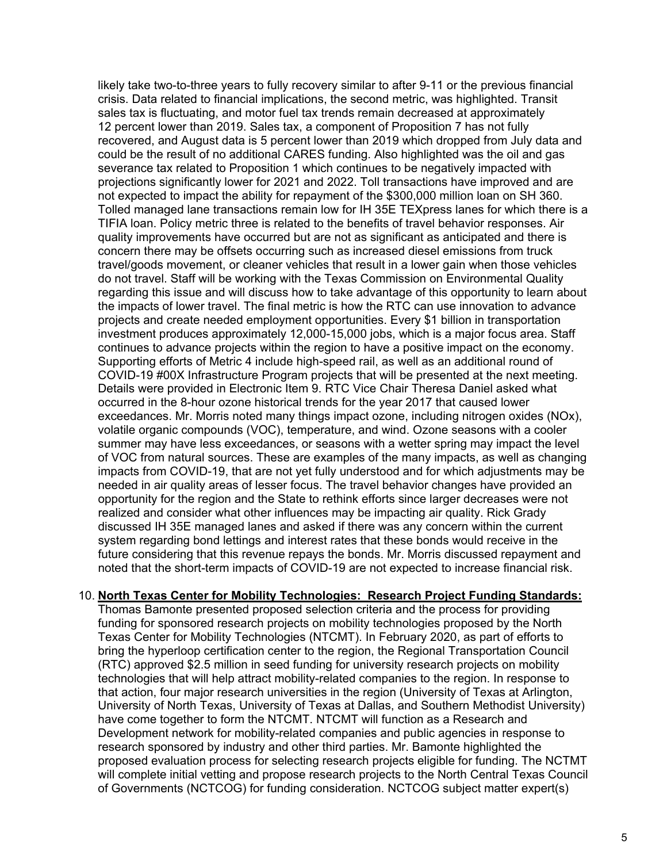likely take two-to-three years to fully recovery similar to after 9-11 or the previous financial crisis. Data related to financial implications, the second metric, was highlighted. Transit sales tax is fluctuating, and motor fuel tax trends remain decreased at approximately 12 percent lower than 2019. Sales tax, a component of Proposition 7 has not fully recovered, and August data is 5 percent lower than 2019 which dropped from July data and could be the result of no additional CARES funding. Also highlighted was the oil and gas severance tax related to Proposition 1 which continues to be negatively impacted with projections significantly lower for 2021 and 2022. Toll transactions have improved and are not expected to impact the ability for repayment of the \$300,000 million loan on SH 360. Tolled managed lane transactions remain low for IH 35E TEXpress lanes for which there is a TIFIA loan. Policy metric three is related to the benefits of travel behavior responses. Air quality improvements have occurred but are not as significant as anticipated and there is concern there may be offsets occurring such as increased diesel emissions from truck travel/goods movement, or cleaner vehicles that result in a lower gain when those vehicles do not travel. Staff will be working with the Texas Commission on Environmental Quality regarding this issue and will discuss how to take advantage of this opportunity to learn about the impacts of lower travel. The final metric is how the RTC can use innovation to advance projects and create needed employment opportunities. Every \$1 billion in transportation investment produces approximately 12,000-15,000 jobs, which is a major focus area. Staff continues to advance projects within the region to have a positive impact on the economy. Supporting efforts of Metric 4 include high-speed rail, as well as an additional round of COVID-19 #00X Infrastructure Program projects that will be presented at the next meeting. Details were provided in Electronic Item 9. RTC Vice Chair Theresa Daniel asked what occurred in the 8-hour ozone historical trends for the year 2017 that caused lower exceedances. Mr. Morris noted many things impact ozone, including nitrogen oxides (NOx), volatile organic compounds (VOC), temperature, and wind. Ozone seasons with a cooler summer may have less exceedances, or seasons with a wetter spring may impact the level of VOC from natural sources. These are examples of the many impacts, as well as changing impacts from COVID-19, that are not yet fully understood and for which adjustments may be needed in air quality areas of lesser focus. The travel behavior changes have provided an opportunity for the region and the State to rethink efforts since larger decreases were not realized and consider what other influences may be impacting air quality. Rick Grady discussed IH 35E managed lanes and asked if there was any concern within the current system regarding bond lettings and interest rates that these bonds would receive in the future considering that this revenue repays the bonds. Mr. Morris discussed repayment and noted that the short-term impacts of COVID-19 are not expected to increase financial risk.

## 10. **North Texas Center for Mobility Technologies: Research Project Funding Standards:**

Thomas Bamonte presented proposed selection criteria and the process for providing funding for sponsored research projects on mobility technologies proposed by the North Texas Center for Mobility Technologies (NTCMT). In February 2020, as part of efforts to bring the hyperloop certification center to the region, the Regional Transportation Council (RTC) approved \$2.5 million in seed funding for university research projects on mobility technologies that will help attract mobility-related companies to the region. In response to that action, four major research universities in the region (University of Texas at Arlington, University of North Texas, University of Texas at Dallas, and Southern Methodist University) have come together to form the NTCMT. NTCMT will function as a Research and Development network for mobility-related companies and public agencies in response to research sponsored by industry and other third parties. Mr. Bamonte highlighted the proposed evaluation process for selecting research projects eligible for funding. The NCTMT will complete initial vetting and propose research projects to the North Central Texas Council of Governments (NCTCOG) for funding consideration. NCTCOG subject matter expert(s)